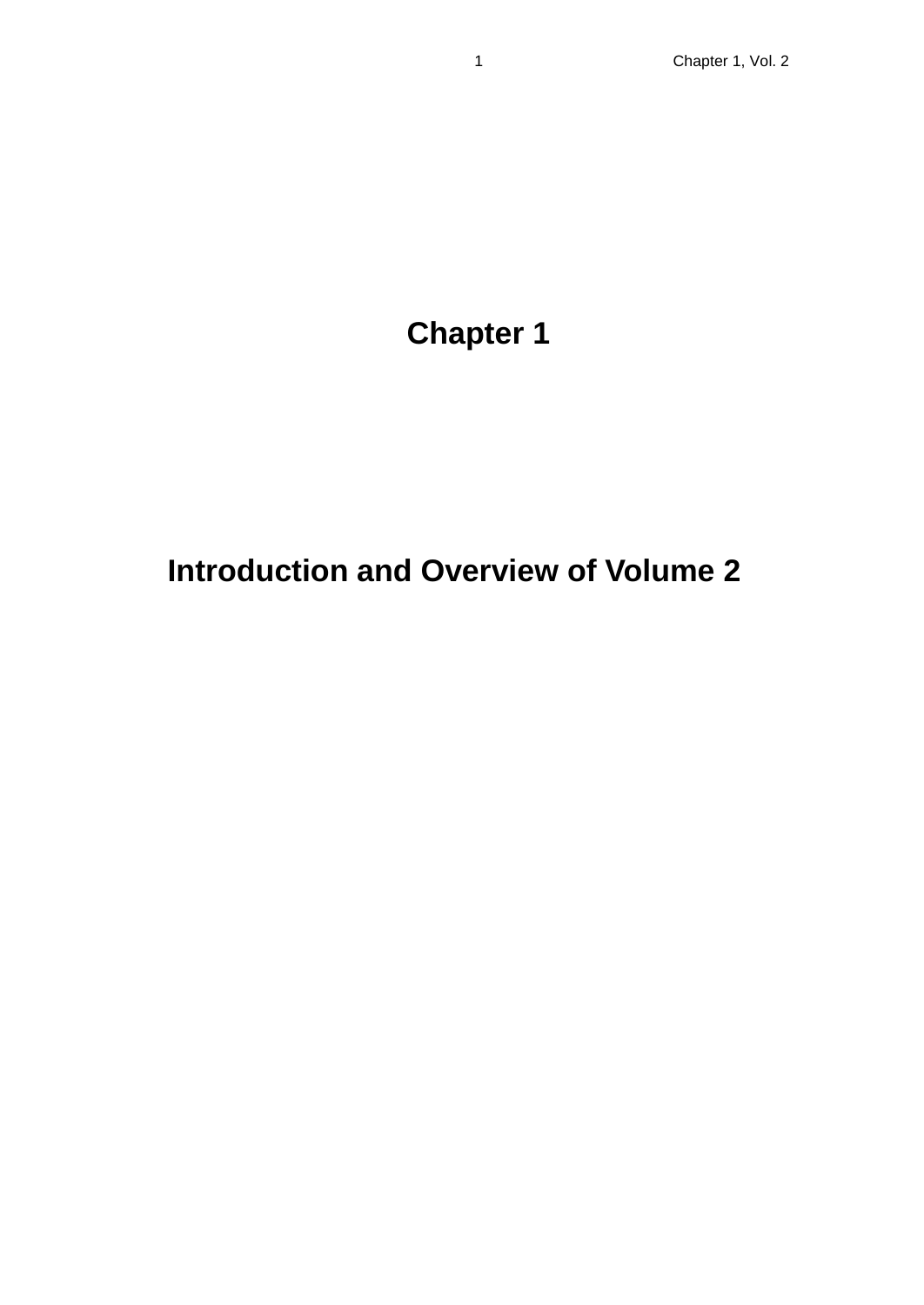# **Chapter 1**

## **Introduction and Overview of Volume 2**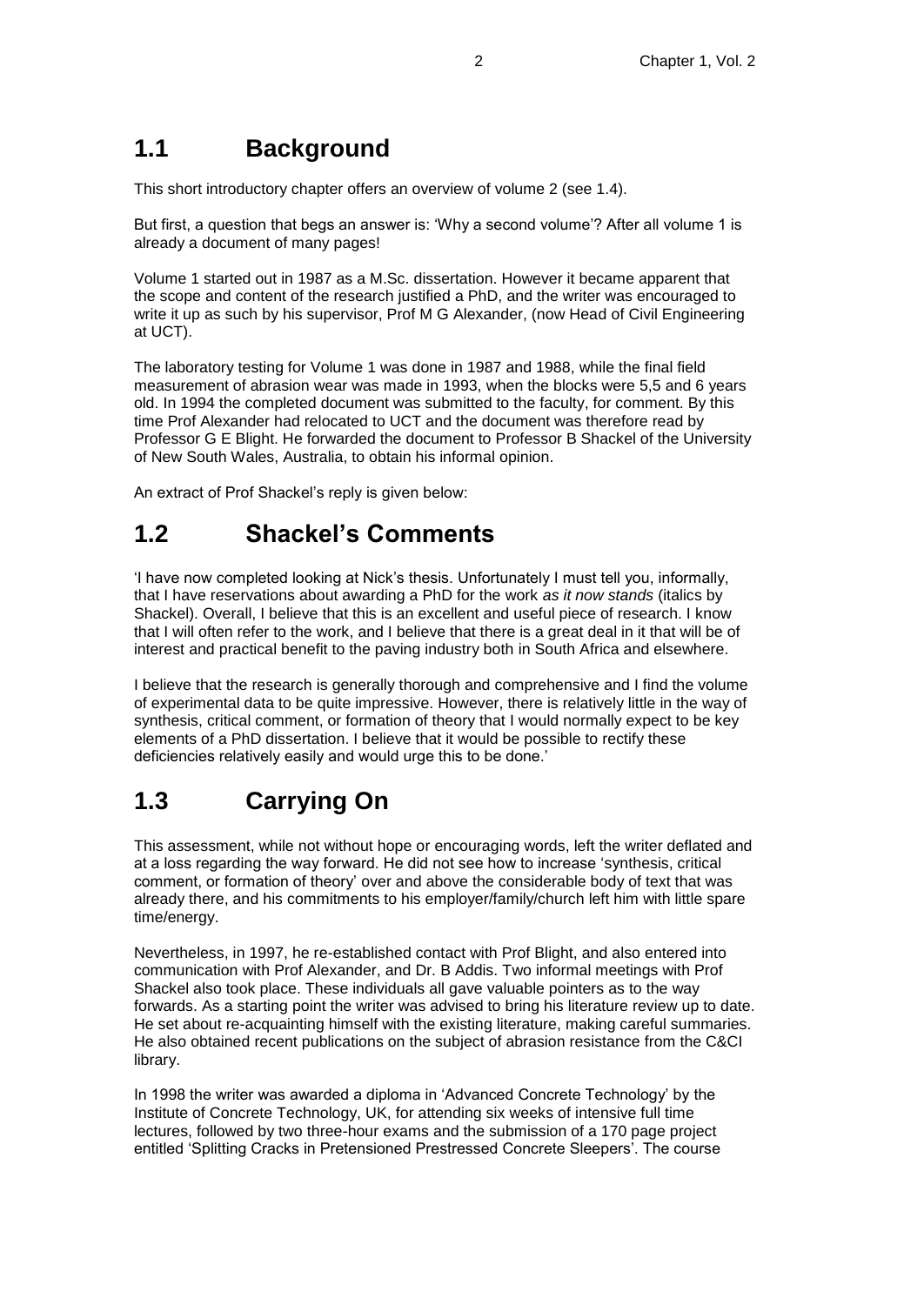#### **1.1 Background**

This short introductory chapter offers an overview of volume 2 (see 1.4).

But first, a question that begs an answer is: 'Why a second volume'? After all volume 1 is already a document of many pages!

Volume 1 started out in 1987 as a M.Sc. dissertation. However it became apparent that the scope and content of the research justified a PhD, and the writer was encouraged to write it up as such by his supervisor, Prof M G Alexander, (now Head of Civil Engineering at UCT).

The laboratory testing for Volume 1 was done in 1987 and 1988, while the final field measurement of abrasion wear was made in 1993, when the blocks were 5,5 and 6 years old. In 1994 the completed document was submitted to the faculty, for comment. By this time Prof Alexander had relocated to UCT and the document was therefore read by Professor G E Blight. He forwarded the document to Professor B Shackel of the University of New South Wales, Australia, to obtain his informal opinion.

An extract of Prof Shackel's reply is given below:

### **1.2 Shackel's Comments**

'I have now completed looking at Nick's thesis. Unfortunately I must tell you, informally, that I have reservations about awarding a PhD for the work *as it now stands* (italics by Shackel). Overall, I believe that this is an excellent and useful piece of research. I know that I will often refer to the work, and I believe that there is a great deal in it that will be of interest and practical benefit to the paving industry both in South Africa and elsewhere.

I believe that the research is generally thorough and comprehensive and I find the volume of experimental data to be quite impressive. However, there is relatively little in the way of synthesis, critical comment, or formation of theory that I would normally expect to be key elements of a PhD dissertation. I believe that it would be possible to rectify these deficiencies relatively easily and would urge this to be done.'

#### **1.3 Carrying On**

This assessment, while not without hope or encouraging words, left the writer deflated and at a loss regarding the way forward. He did not see how to increase 'synthesis, critical comment, or formation of theory' over and above the considerable body of text that was already there, and his commitments to his employer/family/church left him with little spare time/energy.

Nevertheless, in 1997, he re-established contact with Prof Blight, and also entered into communication with Prof Alexander, and Dr. B Addis. Two informal meetings with Prof Shackel also took place. These individuals all gave valuable pointers as to the way forwards. As a starting point the writer was advised to bring his literature review up to date. He set about re-acquainting himself with the existing literature, making careful summaries. He also obtained recent publications on the subject of abrasion resistance from the C&CI library.

In 1998 the writer was awarded a diploma in 'Advanced Concrete Technology' by the Institute of Concrete Technology, UK, for attending six weeks of intensive full time lectures, followed by two three-hour exams and the submission of a 170 page project entitled 'Splitting Cracks in Pretensioned Prestressed Concrete Sleepers'. The course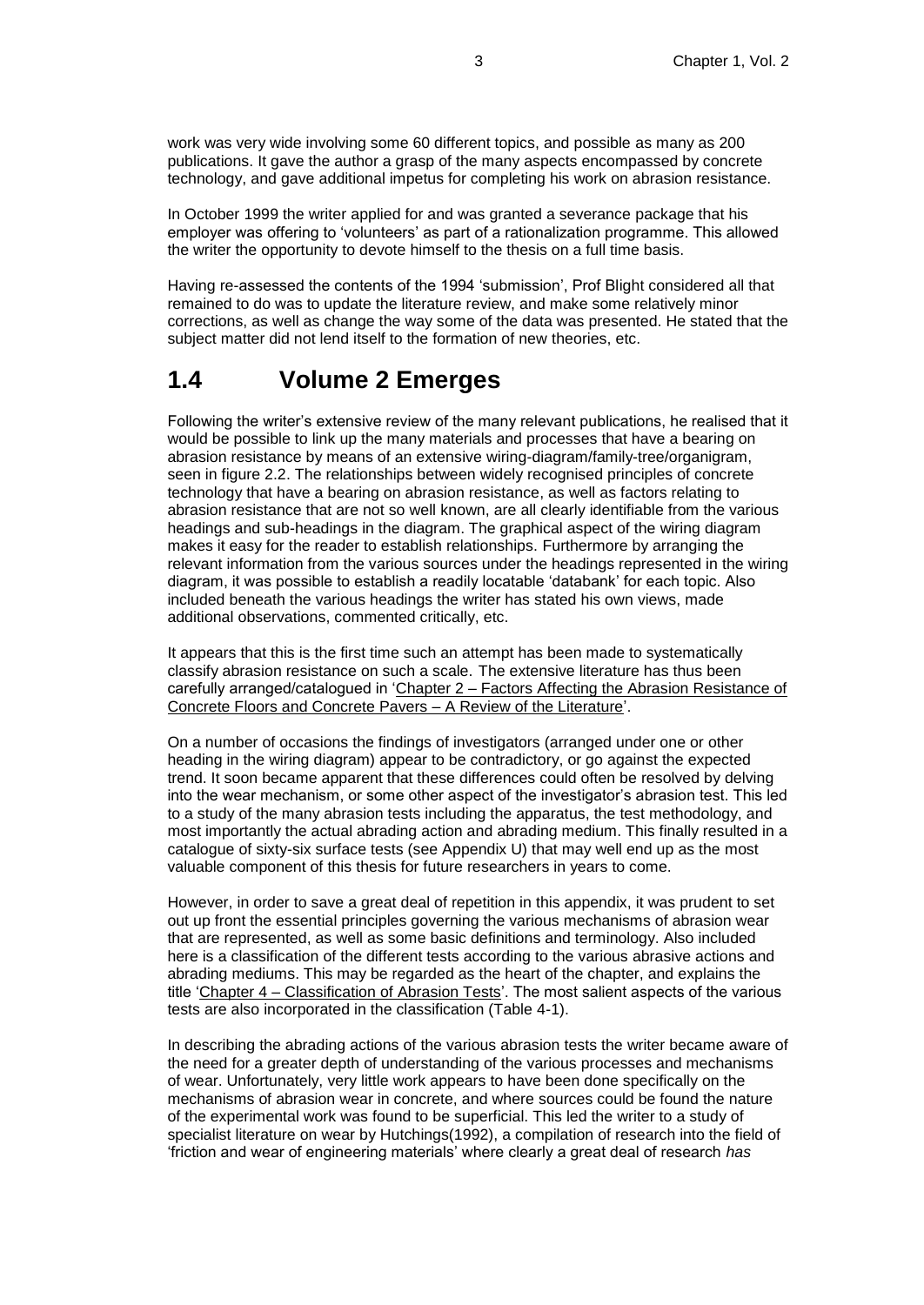work was very wide involving some 60 different topics, and possible as many as 200 publications. It gave the author a grasp of the many aspects encompassed by concrete technology, and gave additional impetus for completing his work on abrasion resistance.

In October 1999 the writer applied for and was granted a severance package that his employer was offering to 'volunteers' as part of a rationalization programme. This allowed the writer the opportunity to devote himself to the thesis on a full time basis.

Having re-assessed the contents of the 1994 'submission', Prof Blight considered all that remained to do was to update the literature review, and make some relatively minor corrections, as well as change the way some of the data was presented. He stated that the subject matter did not lend itself to the formation of new theories, etc.

#### **1.4 Volume 2 Emerges**

Following the writer's extensive review of the many relevant publications, he realised that it would be possible to link up the many materials and processes that have a bearing on abrasion resistance by means of an extensive wiring-diagram/family-tree/organigram, seen in figure 2.2. The relationships between widely recognised principles of concrete technology that have a bearing on abrasion resistance, as well as factors relating to abrasion resistance that are not so well known, are all clearly identifiable from the various headings and sub-headings in the diagram. The graphical aspect of the wiring diagram makes it easy for the reader to establish relationships. Furthermore by arranging the relevant information from the various sources under the headings represented in the wiring diagram, it was possible to establish a readily locatable 'databank' for each topic. Also included beneath the various headings the writer has stated his own views, made additional observations, commented critically, etc.

It appears that this is the first time such an attempt has been made to systematically classify abrasion resistance on such a scale. The extensive literature has thus been carefully arranged/catalogued in 'Chapter 2 – Factors Affecting the Abrasion Resistance of Concrete Floors and Concrete Pavers – A Review of the Literature'.

On a number of occasions the findings of investigators (arranged under one or other heading in the wiring diagram) appear to be contradictory, or go against the expected trend. It soon became apparent that these differences could often be resolved by delving into the wear mechanism, or some other aspect of the investigator's abrasion test. This led to a study of the many abrasion tests including the apparatus, the test methodology, and most importantly the actual abrading action and abrading medium. This finally resulted in a catalogue of sixty-six surface tests (see Appendix U) that may well end up as the most valuable component of this thesis for future researchers in years to come.

However, in order to save a great deal of repetition in this appendix, it was prudent to set out up front the essential principles governing the various mechanisms of abrasion wear that are represented, as well as some basic definitions and terminology. Also included here is a classification of the different tests according to the various abrasive actions and abrading mediums. This may be regarded as the heart of the chapter, and explains the title 'Chapter 4 – Classification of Abrasion Tests'. The most salient aspects of the various tests are also incorporated in the classification (Table 4-1).

In describing the abrading actions of the various abrasion tests the writer became aware of the need for a greater depth of understanding of the various processes and mechanisms of wear. Unfortunately, very little work appears to have been done specifically on the mechanisms of abrasion wear in concrete, and where sources could be found the nature of the experimental work was found to be superficial. This led the writer to a study of specialist literature on wear by Hutchings(1992), a compilation of research into the field of 'friction and wear of engineering materials' where clearly a great deal of research *has*